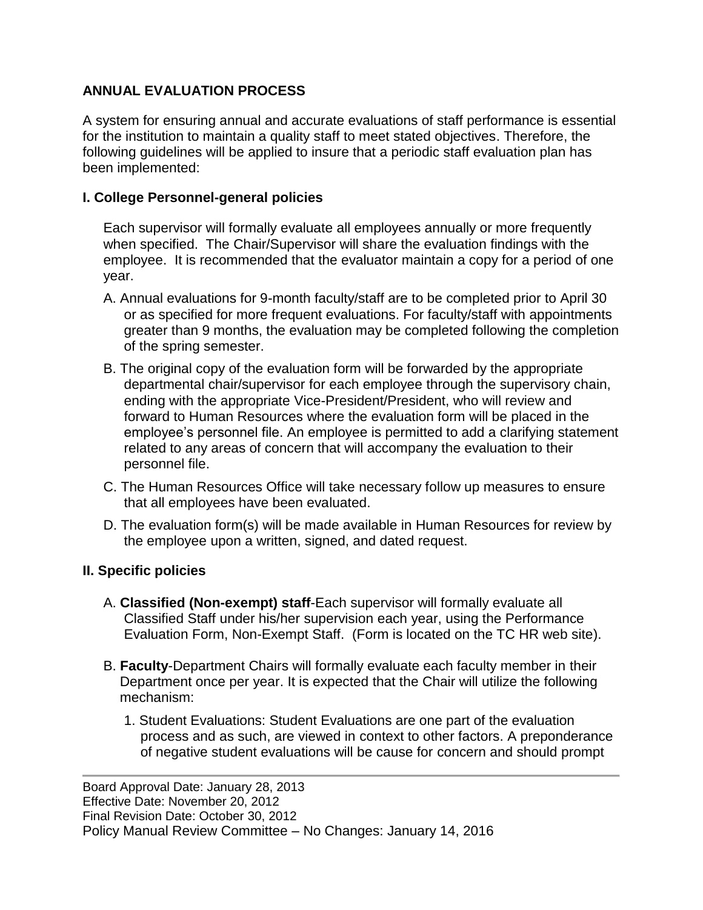## **ANNUAL EVALUATION PROCESS**

A system for ensuring annual and accurate evaluations of staff performance is essential for the institution to maintain a quality staff to meet stated objectives. Therefore, the following guidelines will be applied to insure that a periodic staff evaluation plan has been implemented:

## **I. College Personnel-general policies**

Each supervisor will formally evaluate all employees annually or more frequently when specified. The Chair/Supervisor will share the evaluation findings with the employee. It is recommended that the evaluator maintain a copy for a period of one year.

- A. Annual evaluations for 9-month faculty/staff are to be completed prior to April 30 or as specified for more frequent evaluations. For faculty/staff with appointments greater than 9 months, the evaluation may be completed following the completion of the spring semester.
- B. The original copy of the evaluation form will be forwarded by the appropriate departmental chair/supervisor for each employee through the supervisory chain, ending with the appropriate Vice-President/President, who will review and forward to Human Resources where the evaluation form will be placed in the employee's personnel file. An employee is permitted to add a clarifying statement related to any areas of concern that will accompany the evaluation to their personnel file.
- C. The Human Resources Office will take necessary follow up measures to ensure that all employees have been evaluated.
- D. The evaluation form(s) will be made available in Human Resources for review by the employee upon a written, signed, and dated request.

## **II. Specific policies**

- A. **Classified (Non-exempt) staff**-Each supervisor will formally evaluate all Classified Staff under his/her supervision each year, using the Performance Evaluation Form, Non-Exempt Staff. (Form is located on the TC HR web site).
- B. **Faculty**-Department Chairs will formally evaluate each faculty member in their Department once per year. It is expected that the Chair will utilize the following mechanism:
	- 1. Student Evaluations: Student Evaluations are one part of the evaluation process and as such, are viewed in context to other factors. A preponderance of negative student evaluations will be cause for concern and should prompt